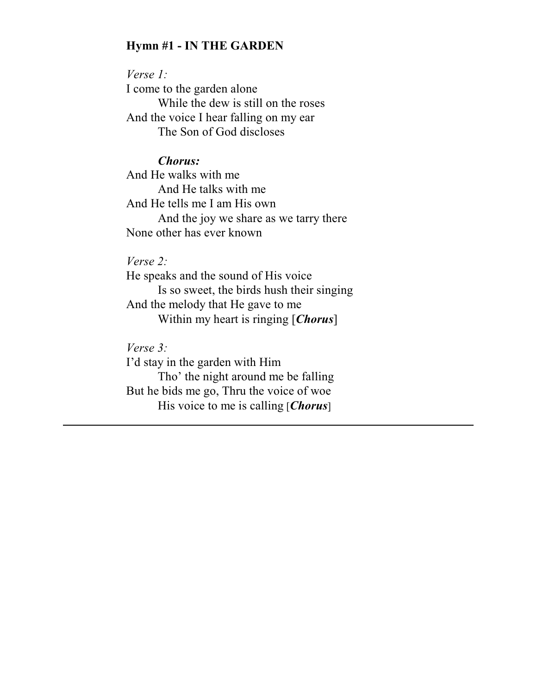#### **Hymn #1 - IN THE GARDEN**

*Verse 1:* I come to the garden alone While the dew is still on the roses And the voice I hear falling on my ear The Son of God discloses

## *Chorus:*

And He walks with me And He talks with me And He tells me I am His own And the joy we share as we tarry there None other has ever known

## *Verse 2:*

He speaks and the sound of His voice Is so sweet, the birds hush their singing And the melody that He gave to me Within my heart is ringing [*Chorus*]

### *Verse 3:*

I'd stay in the garden with Him Tho' the night around me be falling But he bids me go, Thru the voice of woe His voice to me is calling [*Chorus*]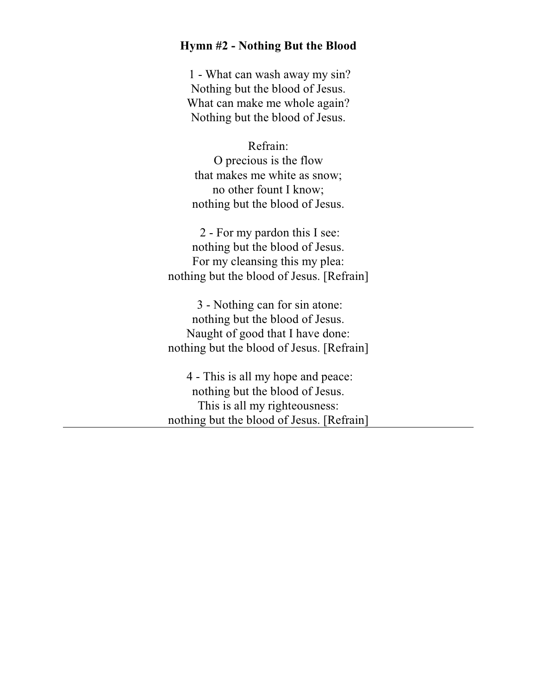#### **Hymn #2 - Nothing But the Blood**

 1 - What can wash away my sin? Nothing but the blood of Jesus. What can make me whole again? Nothing but the blood of Jesus.

Refrain: O precious is the flow that makes me white as snow; no other fount I know; nothing but the blood of Jesus.

 2 - For my pardon this I see: nothing but the blood of Jesus. For my cleansing this my plea: nothing but the blood of Jesus. [Refrain]

 3 - Nothing can for sin atone: nothing but the blood of Jesus. Naught of good that I have done: nothing but the blood of Jesus. [Refrain]

 4 - This is all my hope and peace: nothing but the blood of Jesus. This is all my righteousness: nothing but the blood of Jesus. [Refrain]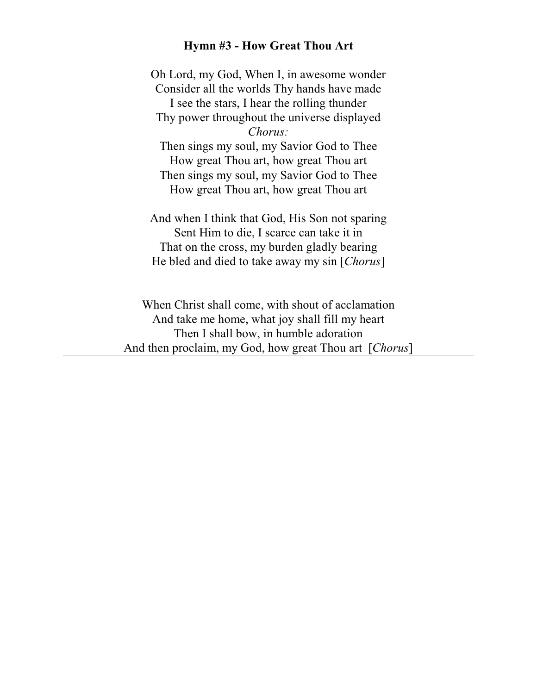#### **Hymn #3 - How Great Thou Art**

Oh Lord, my God, When I, in awesome wonder Consider all the worlds Thy hands have made I see the stars, I hear the rolling thunder Thy power throughout the universe displayed *Chorus:* Then sings my soul, my Savior God to Thee How great Thou art, how great Thou art Then sings my soul, my Savior God to Thee How great Thou art, how great Thou art

And when I think that God, His Son not sparing Sent Him to die, I scarce can take it in That on the cross, my burden gladly bearing He bled and died to take away my sin [*Chorus*]

When Christ shall come, with shout of acclamation And take me home, what joy shall fill my heart Then I shall bow, in humble adoration And then proclaim, my God, how great Thou art [*Chorus*]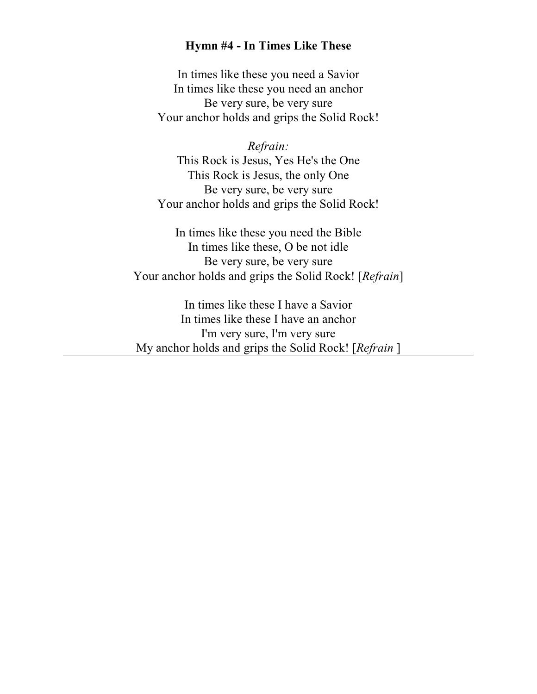#### **Hymn #4 - In Times Like These**

In times like these you need a Savior In times like these you need an anchor Be very sure, be very sure Your anchor holds and grips the Solid Rock!

*Refrain:* This Rock is Jesus, Yes He's the One This Rock is Jesus, the only One Be very sure, be very sure Your anchor holds and grips the Solid Rock!

In times like these you need the Bible In times like these, O be not idle Be very sure, be very sure Your anchor holds and grips the Solid Rock! [*Refrain*]

In times like these I have a Savior In times like these I have an anchor I'm very sure, I'm very sure My anchor holds and grips the Solid Rock! [*Refrain* ]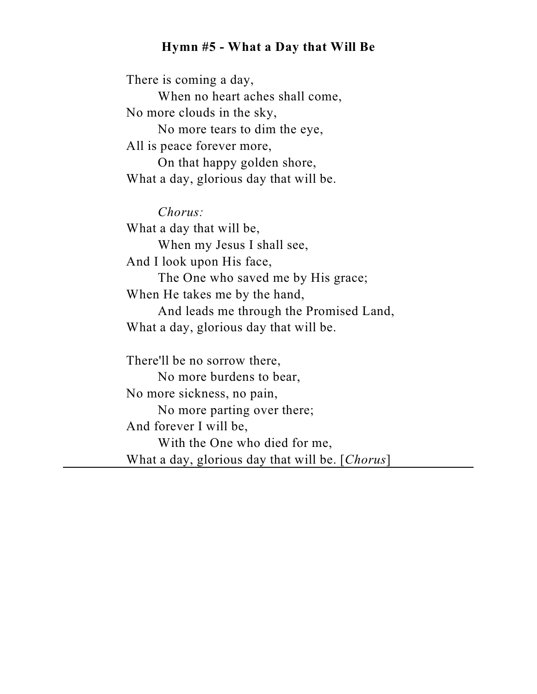# **Hymn #5 - What a Day that Will Be**

There is coming a day, When no heart aches shall come, No more clouds in the sky, No more tears to dim the eye, All is peace forever more, On that happy golden shore, What a day, glorious day that will be.

*Chorus:* What a day that will be, When my Jesus I shall see, And I look upon His face, The One who saved me by His grace; When He takes me by the hand, And leads me through the Promised Land, What a day, glorious day that will be. There'll be no sorrow there, No more burdens to bear, No more sickness, no pain, No more parting over there; And forever I will be, With the One who died for me, What a day, glorious day that will be. [*Chorus*]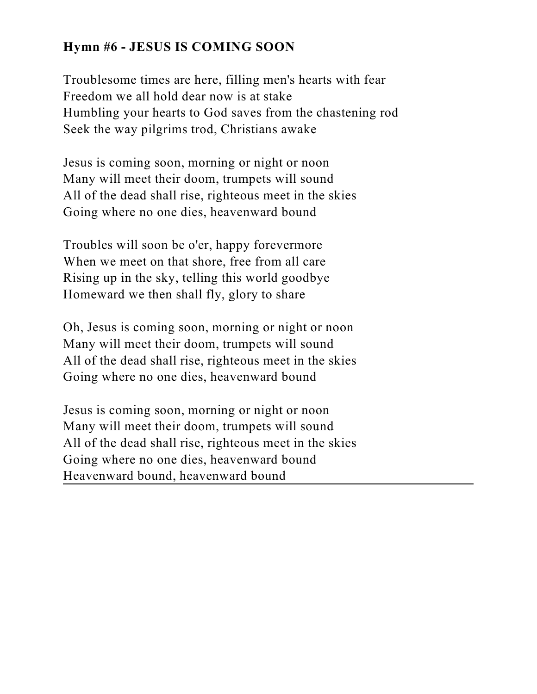# **Hymn #6 - JESUS IS COMING SOON**

Troublesome times are here, filling men's hearts with fear Freedom we all hold dear now is at stake Humbling your hearts to God saves from the chastening rod Seek the way pilgrims trod, Christians awake

Jesus is coming soon, morning or night or noon Many will meet their doom, trumpets will sound All of the dead shall rise, righteous meet in the skies Going where no one dies, heavenward bound

Troubles will soon be o'er, happy forevermore When we meet on that shore, free from all care Rising up in the sky, telling this world goodbye Homeward we then shall fly, glory to share

Oh, Jesus is coming soon, morning or night or noon Many will meet their doom, trumpets will sound All of the dead shall rise, righteous meet in the skies Going where no one dies, heavenward bound

Jesus is coming soon, morning or night or noon Many will meet their doom, trumpets will sound All of the dead shall rise, righteous meet in the skies Going where no one dies, heavenward bound Heavenward bound, heavenward bound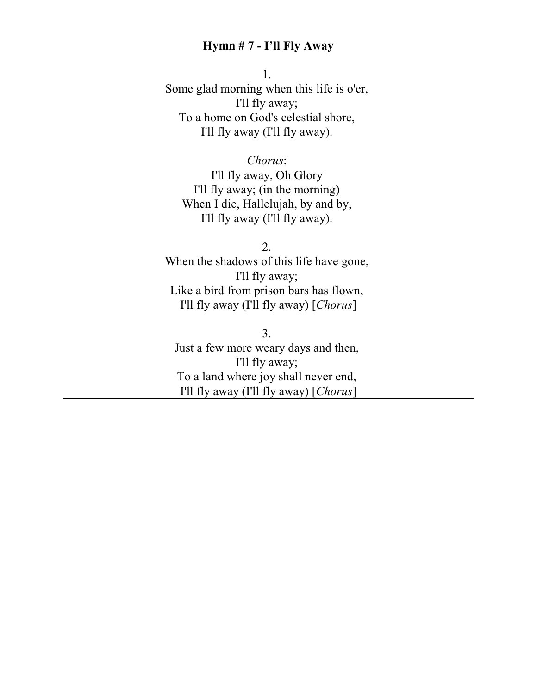#### **Hymn # 7 - I'll Fly Away**

1. Some glad morning when this life is o'er, I'll fly away; To a home on God's celestial shore, I'll fly away (I'll fly away).

*Chorus*: I'll fly away, Oh Glory I'll fly away; (in the morning) When I die, Hallelujah, by and by, I'll fly away (I'll fly away).

2. When the shadows of this life have gone, I'll fly away; Like a bird from prison bars has flown, I'll fly away (I'll fly away) [*Chorus*]

3. Just a few more weary days and then, I'll fly away; To a land where joy shall never end, I'll fly away (I'll fly away) [*Chorus*]